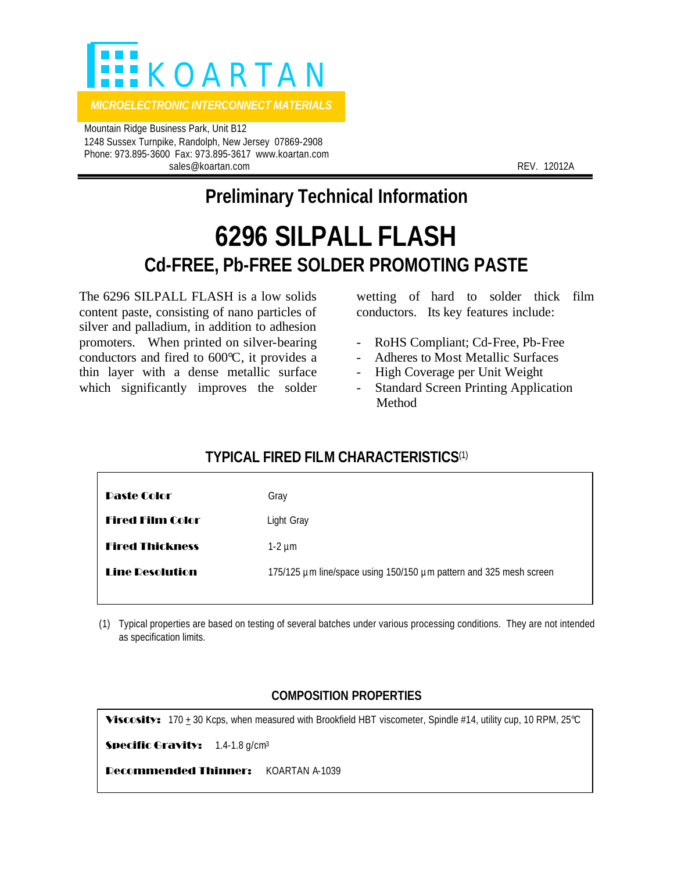

 Mountain Ridge Business Park, Unit B12 1248 Sussex Turnpike, Randolph, New Jersey 07869-2908 Phone: 973.895-3600 Fax: 973.895-3617 www.koartan.com sales@koartan.com REV. 12012A

## **Preliminary Technical Information**

## **6296 SILPALL FLASH Cd-FREE, Pb-FREE SOLDER PROMOTING PASTE**

The 6296 SILPALL FLASH is a low solids content paste, consisting of nano particles of silver and palladium, in addition to adhesion promoters. When printed on silver-bearing conductors and fired to 600°C, it provides a thin layer with a dense metallic surface which significantly improves the solder wetting of hard to solder thick film conductors. Its key features include:

- RoHS Compliant; Cd-Free, Pb-Free
- Adheres to Most Metallic Surfaces
- High Coverage per Unit Weight
- Standard Screen Printing Application Method

## **TYPICAL FIRED FILM CHARACTERISTICS**(1)

| Daste Color             | Gray                                                               |
|-------------------------|--------------------------------------------------------------------|
| <b>Fired Film Color</b> | Light Gray                                                         |
| <b>Fired Thickness</b>  | $1-2 \mu m$                                                        |
| <b>Line Resolution</b>  | 175/125 µm line/space using 150/150 µm pattern and 325 mesh screen |
|                         |                                                                    |

(1) Typical properties are based on testing of several batches under various processing conditions. They are not intended as specification limits.

## **COMPOSITION PROPERTIES**

Viscosity: 170  $\pm$  30 Kcps, when measured with Brookfield HBT viscometer, Spindle #14, utility cup, 10 RPM, 25°C

Specific Gravity: 1.4-1.8 g/cm<sup>3</sup>

Recommended Thinner: KOARTAN A-1039